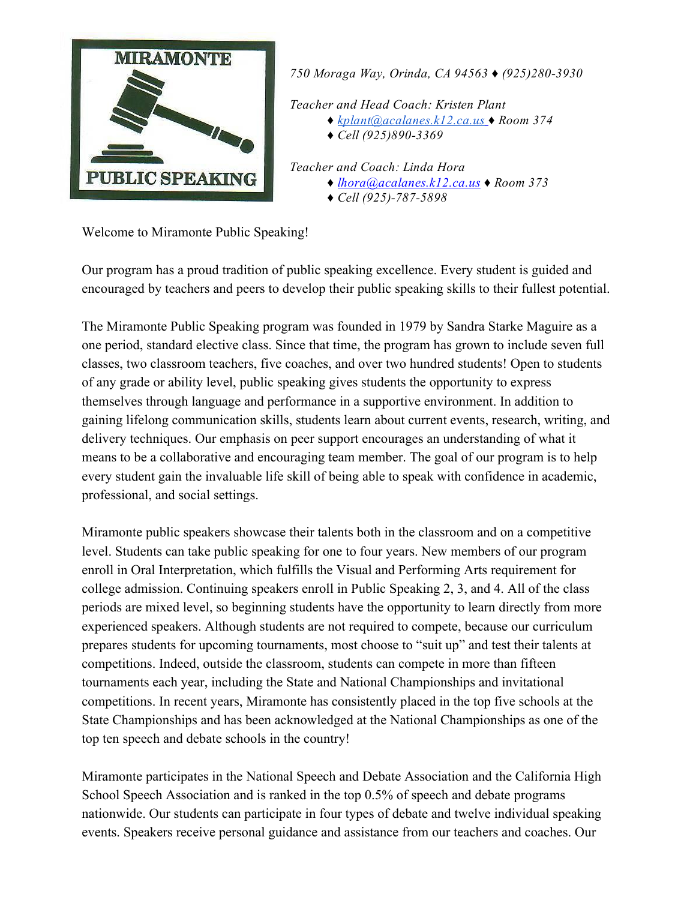

750 Moraga Way, Orinda, CA 94563 ♦ (925)280-3930

Teacher and Head Coach: Kristen Plant

- ♦ [kplant@acalanes.k12.ca.us](mailto:kplant@acalanes.k12.ca.us) ♦ Room 374
- $\triangleleft$  Cell (925)890-3369

Teacher and Coach: Linda Hora ♦ [lhora@acalanes.k12.ca.us](mailto:lhora@acalanes.k12.ca.us) ♦ Room 373  $\triangleleft$  Cell (925)-787-5898

Welcome to Miramonte Public Speaking!

Our program has a proud tradition of public speaking excellence. Every student is guided and encouraged by teachers and peers to develop their public speaking skills to their fullest potential.

The Miramonte Public Speaking program was founded in 1979 by Sandra Starke Maguire as a one period, standard elective class. Since that time, the program has grown to include seven full classes, two classroom teachers, five coaches, and over two hundred students! Open to students of any grade or ability level, public speaking gives students the opportunity to express themselves through language and performance in a supportive environment. In addition to gaining lifelong communication skills, students learn about current events, research, writing, and delivery techniques. Our emphasis on peer support encourages an understanding of what it means to be a collaborative and encouraging team member. The goal of our program is to help every student gain the invaluable life skill of being able to speak with confidence in academic, professional, and social settings.

Miramonte public speakers showcase their talents both in the classroom and on a competitive level. Students can take public speaking for one to four years. New members of our program enroll in Oral Interpretation, which fulfills the Visual and Performing Arts requirement for college admission. Continuing speakers enroll in Public Speaking 2, 3, and 4. All of the class periods are mixed level, so beginning students have the opportunity to learn directly from more experienced speakers. Although students are not required to compete, because our curriculum prepares students for upcoming tournaments, most choose to "suit up" and test their talents at competitions. Indeed, outside the classroom, students can compete in more than fifteen tournaments each year, including the State and National Championships and invitational competitions. In recent years, Miramonte has consistently placed in the top five schools at the State Championships and has been acknowledged at the National Championships as one of the top ten speech and debate schools in the country!

Miramonte participates in the National Speech and Debate Association and the California High School Speech Association and is ranked in the top 0.5% of speech and debate programs nationwide. Our students can participate in four types of debate and twelve individual speaking events. Speakers receive personal guidance and assistance from our teachers and coaches. Our